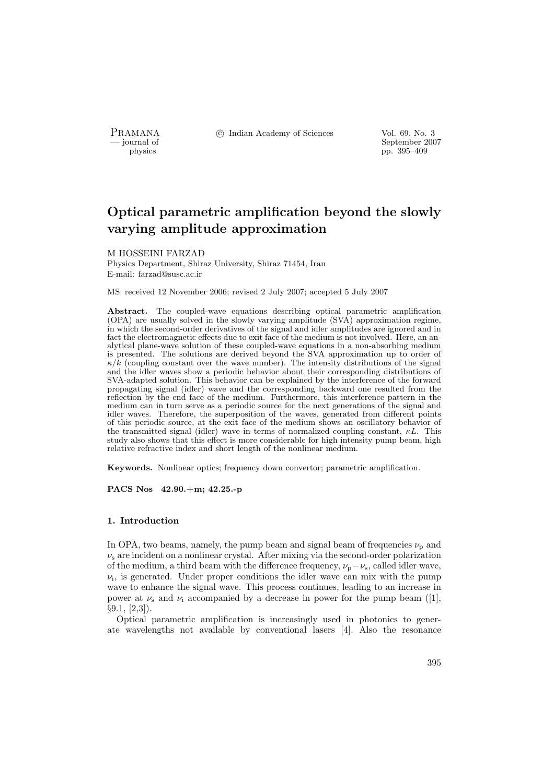PRAMANA <sup>C</sup> Indian Academy of Sciences Vol. 69, No. 3<br>
— journal of September 200

position of the separation of September 2007<br>physics the separation of September 2007<br>pp. 395–409 pp. 395–409

# Optical parametric amplification beyond the slowly varying amplitude approximation

#### M HOSSEINI FARZAD

Physics Department, Shiraz University, Shiraz 71454, Iran E-mail: farzad@susc.ac.ir

MS received 12 November 2006; revised 2 July 2007; accepted 5 July 2007

Abstract. The coupled-wave equations describing optical parametric amplification (OPA) are usually solved in the slowly varying amplitude (SVA) approximation regime, in which the second-order derivatives of the signal and idler amplitudes are ignored and in fact the electromagnetic effects due to exit face of the medium is not involved. Here, an analytical plane-wave solution of these coupled-wave equations in a non-absorbing medium is presented. The solutions are derived beyond the SVA approximation up to order of  $\kappa/\hat{k}$  (coupling constant over the wave number). The intensity distributions of the signal and the idler waves show a periodic behavior about their corresponding distributions of SVA-adapted solution. This behavior can be explained by the interference of the forward propagating signal (idler) wave and the corresponding backward one resulted from the reflection by the end face of the medium. Furthermore, this interference pattern in the medium can in turn serve as a periodic source for the next generations of the signal and idler waves. Therefore, the superposition of the waves, generated from different points of this periodic source, at the exit face of the medium shows an oscillatory behavior of the transmitted signal (idler) wave in terms of normalized coupling constant,  $\kappa L$ . This study also shows that this effect is more considerable for high intensity pump beam, high relative refractive index and short length of the nonlinear medium.

Keywords. Nonlinear optics; frequency down convertor; parametric amplification.

PACS Nos 42.90.+m; 42.25.-p

#### 1. Introduction

In OPA, two beams, namely, the pump beam and signal beam of frequencies  $\nu_{\rm p}$  and  $\nu_s$  are incident on a nonlinear crystal. After mixing via the second-order polarization of the medium, a third beam with the difference frequency,  $\nu_p - \nu_s$ , called idler wave,  $\nu_i$ , is generated. Under proper conditions the idler wave can mix with the pump wave to enhance the signal wave. This process continues, leading to an increase in power at  $\nu_s$  and  $\nu_i$  accompanied by a decrease in power for the pump beam ([1], §9.1, [2,3]).

Optical parametric amplification is increasingly used in photonics to generate wavelengths not available by conventional lasers [4]. Also the resonance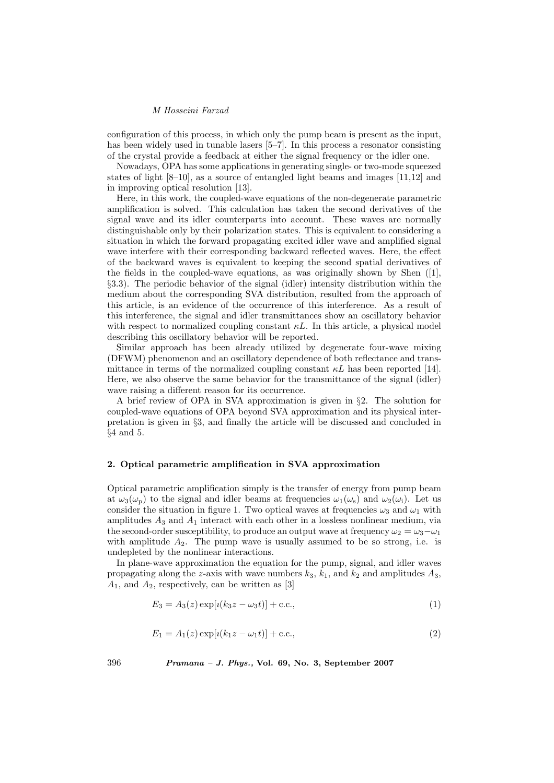configuration of this process, in which only the pump beam is present as the input, has been widely used in tunable lasers [5–7]. In this process a resonator consisting of the crystal provide a feedback at either the signal frequency or the idler one.

Nowadays, OPA has some applications in generating single- or two-mode squeezed states of light [8–10], as a source of entangled light beams and images [11,12] and in improving optical resolution [13].

Here, in this work, the coupled-wave equations of the non-degenerate parametric amplification is solved. This calculation has taken the second derivatives of the signal wave and its idler counterparts into account. These waves are normally distinguishable only by their polarization states. This is equivalent to considering a situation in which the forward propagating excited idler wave and amplified signal wave interfere with their corresponding backward reflected waves. Here, the effect of the backward waves is equivalent to keeping the second spatial derivatives of the fields in the coupled-wave equations, as was originally shown by Shen  $([1],$ §3.3). The periodic behavior of the signal (idler) intensity distribution within the medium about the corresponding SVA distribution, resulted from the approach of this article, is an evidence of the occurrence of this interference. As a result of this interference, the signal and idler transmittances show an oscillatory behavior with respect to normalized coupling constant  $\kappa L$ . In this article, a physical model describing this oscillatory behavior will be reported.

Similar approach has been already utilized by degenerate four-wave mixing (DFWM) phenomenon and an oscillatory dependence of both reflectance and transmittance in terms of the normalized coupling constant  $\kappa L$  has been reported [14]. Here, we also observe the same behavior for the transmittance of the signal (idler) wave raising a different reason for its occurrence.

A brief review of OPA in SVA approximation is given in §2. The solution for coupled-wave equations of OPA beyond SVA approximation and its physical interpretation is given in §3, and finally the article will be discussed and concluded in §4 and 5.

## 2. Optical parametric amplification in SVA approximation

Optical parametric amplification simply is the transfer of energy from pump beam at  $\omega_3(\omega_{\rm p})$  to the signal and idler beams at frequencies  $\omega_1(\omega_{\rm s})$  and  $\omega_2(\omega_{\rm i})$ . Let us consider the situation in figure 1. Two optical waves at frequencies  $\omega_3$  and  $\omega_1$  with amplitudes  $A_3$  and  $A_1$  interact with each other in a lossless nonlinear medium, via the second-order susceptibility, to produce an output wave at frequency  $\omega_2 = \omega_3 - \omega_1$ with amplitude  $A_2$ . The pump wave is usually assumed to be so strong, i.e. is undepleted by the nonlinear interactions.

In plane-wave approximation the equation for the pump, signal, and idler waves propagating along the z-axis with wave numbers  $k_3$ ,  $k_1$ , and  $k_2$  and amplitudes  $A_3$ ,  $A_1$ , and  $A_2$ , respectively, can be written as [3]

$$
E_3 = A_3(z) \exp[i(k_3 z - \omega_3 t)] + \text{c.c.},\tag{1}
$$

$$
E_1 = A_1(z) \exp[i(k_1 z - \omega_1 t)] + \text{c.c.},\tag{2}
$$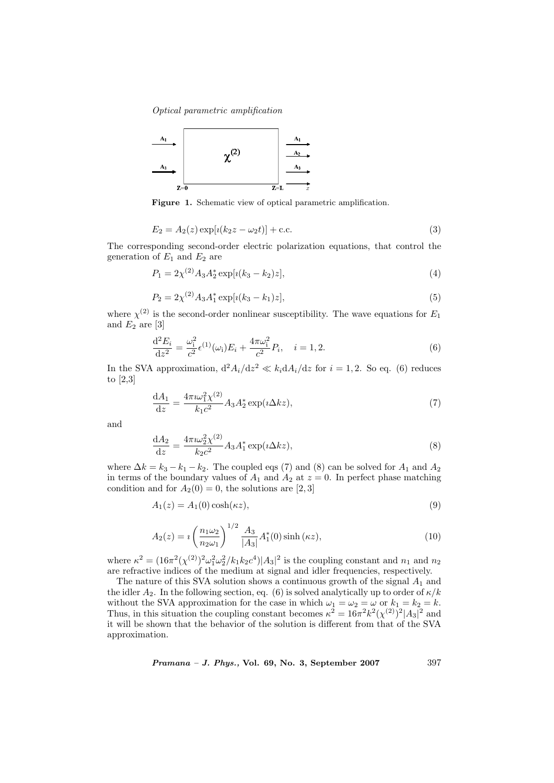

Figure 1. Schematic view of optical parametric amplification.

$$
E_2 = A_2(z) \exp[i(k_2 z - \omega_2 t)] + \text{c.c.}
$$
\n(3)

The corresponding second-order electric polarization equations, that control the generation of  $E_1$  and  $E_2$  are

$$
P_1 = 2\chi^{(2)} A_3 A_2^* \exp[i(k_3 - k_2)z],\tag{4}
$$

$$
P_2 = 2\chi^{(2)} A_3 A_1^* \exp[i(k_3 - k_1)z],\tag{5}
$$

where  $\chi^{(2)}$  is the second-order nonlinear susceptibility. The wave equations for  $E_1$ and  $E_2$  are [3]

$$
\frac{\mathrm{d}^{2}E_{i}}{\mathrm{d}z^{2}} = \frac{\omega_{i}^{2}}{c^{2}} \epsilon^{(1)}(\omega_{i}) E_{i} + \frac{4\pi\omega_{i}^{2}}{c^{2}} P_{i}, \quad i = 1, 2.
$$
\n(6)

In the SVA approximation,  $d^2A_i/dz^2 \ll k_i dA_i/dz$  for  $i = 1, 2$ . So eq. (6) reduces to [2,3]

$$
\frac{\mathrm{d}A_1}{\mathrm{d}z} = \frac{4\pi i \omega_1^2 \chi^{(2)}}{k_1 c^2} A_3 A_2^* \exp(i\Delta kz),\tag{7}
$$

and

$$
\frac{dA_2}{dz} = \frac{4\pi i \omega_2^2 \chi^{(2)}}{k_2 c^2} A_3 A_1^* \exp(\iota \Delta k z),\tag{8}
$$

where  $\Delta k = k_3 - k_1 - k_2$ . The coupled eqs (7) and (8) can be solved for  $A_1$  and  $A_2$ in terms of the boundary values of  $A_1$  and  $A_2$  at  $z = 0$ . In perfect phase matching condition and for  $A_2(0) = 0$ , the solutions are [2,3]

$$
A_1(z) = A_1(0)\cosh(\kappa z),\tag{9}
$$

$$
A_2(z) = i \left(\frac{n_1 \omega_2}{n_2 \omega_1}\right)^{1/2} \frac{A_3}{|A_3|} A_1^*(0) \sinh(\kappa z), \tag{10}
$$

where  $\kappa^2 = (16\pi^2(\chi^{(2)})^2\omega_1^2\omega_2^2/k_1k_2c^4)|A_3|^2$  is the coupling constant and  $n_1$  and  $n_2$ are refractive indices of the medium at signal and idler frequencies, respectively.

The nature of this SVA solution shows a continuous growth of the signal  $A_1$  and the idler  $A_2$ . In the following section, eq. (6) is solved analytically up to order of  $\kappa/k$ without the SVA approximation for the case in which  $\omega_1 = \omega_2 = \omega$  or  $k_1 = k_2 = k$ . Thus, in this situation the coupling constant becomes  $\kappa^2 = 16\pi^2 k^2 (\chi^{(2)})^2 |A_3|^2$  and it will be shown that the behavior of the solution is different from that of the SVA approximation.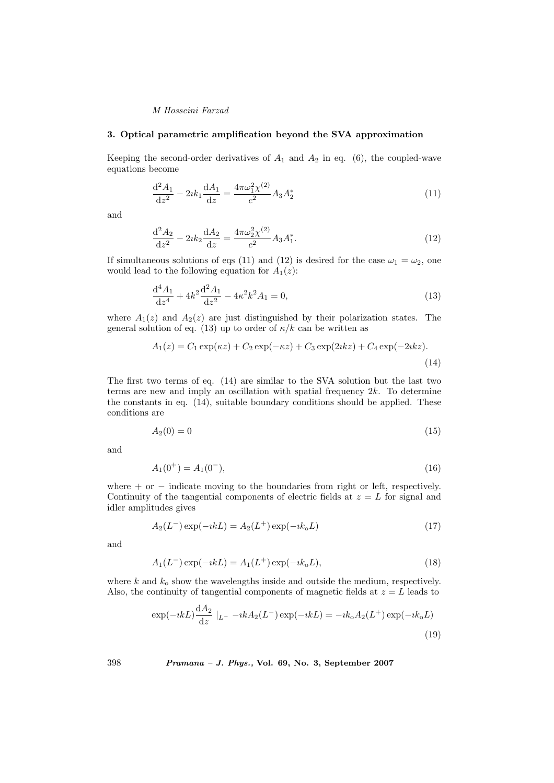# 3. Optical parametric amplification beyond the SVA approximation

Keeping the second-order derivatives of  $A_1$  and  $A_2$  in eq. (6), the coupled-wave equations become

$$
\frac{\mathrm{d}^2 A_1}{\mathrm{d}z^2} - 2ik_1 \frac{\mathrm{d}A_1}{\mathrm{d}z} = \frac{4\pi\omega_1^2 \chi^{(2)}}{c^2} A_3 A_2^* \tag{11}
$$

and

$$
\frac{\mathrm{d}^2 A_2}{\mathrm{d}z^2} - 2ik_2 \frac{\mathrm{d}A_2}{\mathrm{d}z} = \frac{4\pi\omega_2^2 \chi^{(2)}}{c^2} A_3 A_1^*.
$$
\n(12)

If simultaneous solutions of eqs (11) and (12) is desired for the case  $\omega_1 = \omega_2$ , one would lead to the following equation for  $A_1(z)$ :

$$
\frac{\mathrm{d}^4 A_1}{\mathrm{d}z^4} + 4k^2 \frac{\mathrm{d}^2 A_1}{\mathrm{d}z^2} - 4\kappa^2 k^2 A_1 = 0,\tag{13}
$$

where  $A_1(z)$  and  $A_2(z)$  are just distinguished by their polarization states. The general solution of eq. (13) up to order of  $\kappa/k$  can be written as

$$
A_1(z) = C_1 \exp(\kappa z) + C_2 \exp(-\kappa z) + C_3 \exp(2\kappa z) + C_4 \exp(-2\kappa z).
$$
\n(14)

The first two terms of eq. (14) are similar to the SVA solution but the last two terms are new and imply an oscillation with spatial frequency  $2k$ . To determine the constants in eq. (14), suitable boundary conditions should be applied. These conditions are

$$
A_2(0) = 0 \tag{15}
$$

and

$$
A_1(0^+) = A_1(0^-), \tag{16}
$$

where  $+$  or  $-$  indicate moving to the boundaries from right or left, respectively. Continuity of the tangential components of electric fields at  $z = L$  for signal and idler amplitudes gives

$$
A_2(L^-) \exp(-ikL) = A_2(L^+) \exp(-ik_0L)
$$
\n(17)

and

$$
A_1(L^-) \exp(-ikL) = A_1(L^+) \exp(-ik_0L), \qquad (18)
$$

where  $k$  and  $k_0$  show the wavelengths inside and outside the medium, respectively. Also, the continuity of tangential components of magnetic fields at  $z = L$  leads to

$$
\exp(-ikL)\frac{dA_2}{dz}|_{L^-} - ikA_2(L^-)\exp(-ikL) = -ik_0A_2(L^+) \exp(-ik_0L)
$$
\n(19)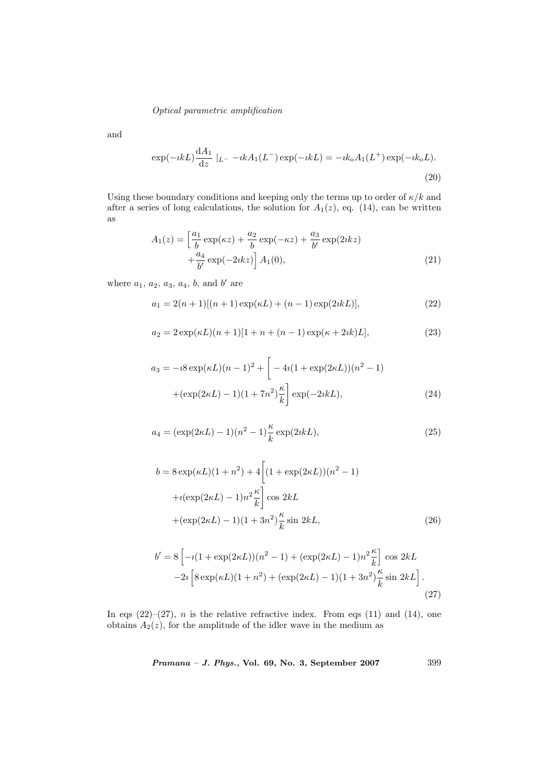and

$$
\exp(-ikL)\frac{dA_1}{dz}|_{L^-} - ikA_1(L^-)\exp(-ikL) = -ik_0A_1(L^+) \exp(-ik_0L).
$$
\n(20)

Using these boundary conditions and keeping only the terms up to order of  $\kappa/k$  and after a series of long calculations, the solution for  $A_1(z)$ , eq. (14), can be written as

$$
A_1(z) = \left[\frac{a_1}{b} \exp(\kappa z) + \frac{a_2}{b} \exp(-\kappa z) + \frac{a_3}{b'} \exp(2ikz) + \frac{a_4}{b'} \exp(-2ikz)\right] A_1(0),
$$
\n(21)

where  $a_1, a_2, a_3, a_4, b$ , and b' are

$$
a_1 = 2(n+1)[(n+1)\exp(\kappa L) + (n-1)\exp(2ikL)],
$$
\n(22)

$$
a_2 = 2\exp(\kappa L)(n+1)[1+n+(n-1)\exp(\kappa+2ik)L],
$$
\n(23)

$$
a_3 = -i8 \exp(\kappa L)(n-1)^2 + \left[ -4i(1 + \exp(2\kappa L))(n^2 - 1) + (\exp(2\kappa L) - 1)(1 + 7n^2) \frac{\kappa}{k} \right] \exp(-2ikL), \tag{24}
$$

$$
a_4 = (\exp(2\kappa L) - 1)(n^2 - 1)\frac{\kappa}{k}\exp(2ikL),
$$
\n(25)

$$
b = 8 \exp(\kappa L)(1 + n^2) + 4 \left[ (1 + \exp(2\kappa L))(n^2 - 1) + i(\exp(2\kappa L) - 1)n^2 \frac{\kappa}{k} \right] \cos 2kL + (\exp(2\kappa L) - 1)(1 + 3n^2) \frac{\kappa}{k} \sin 2kL,
$$
 (26)

$$
b' = 8 \left[ -i(1 + \exp(2\kappa L))(n^2 - 1) + (\exp(2\kappa L) - 1)n^2 \frac{\kappa}{k} \right] \cos 2kL
$$
  
-2 $i \left[ 8 \exp(\kappa L)(1 + n^2) + (\exp(2\kappa L) - 1)(1 + 3n^2) \frac{\kappa}{k} \sin 2kL \right].$  (27)

In eqs  $(22)-(27)$ , *n* is the relative refractive index. From eqs  $(11)$  and  $(14)$ , one obtains  $A_2(z)$ , for the amplitude of the idler wave in the medium as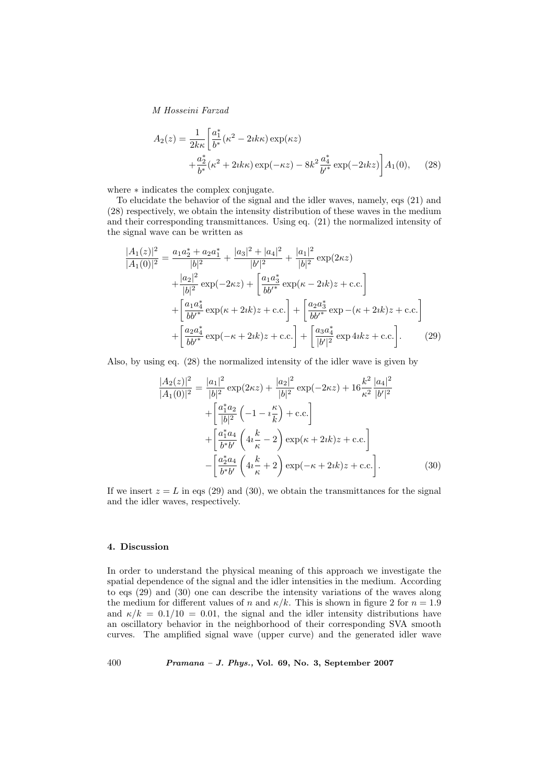$$
A_2(z) = \frac{1}{2k\kappa} \left[ \frac{a_1^*}{b^*} (\kappa^2 - 2ik\kappa) \exp(\kappa z) + \frac{a_2^*}{b^*} (\kappa^2 + 2ik\kappa) \exp(-\kappa z) - 8k^2 \frac{a_4^*}{b'^*} \exp(-2ikz) \right] A_1(0), \quad (28)
$$

where  $*$  indicates the complex conjugate.

To elucidate the behavior of the signal and the idler waves, namely, eqs (21) and (28) respectively, we obtain the intensity distribution of these waves in the medium and their corresponding transmittances. Using eq. (21) the normalized intensity of the signal wave can be written as

$$
\frac{|A_1(z)|^2}{|A_1(0)|^2} = \frac{a_1 a_2^* + a_2 a_1^*}{|b|^2} + \frac{|a_3|^2 + |a_4|^2}{|b|^2} + \frac{|a_1|^2}{|b|^2} \exp(2\kappa z)
$$
  
+ 
$$
\frac{|a_2|^2}{|b|^2} \exp(-2\kappa z) + \left[\frac{a_1 a_3^*}{b b'^*} \exp(\kappa - 2ik)z + \text{c.c.}\right]
$$
  
+ 
$$
\left[\frac{a_1 a_4^*}{b b'^*} \exp(\kappa + 2ik)z + \text{c.c.}\right] + \left[\frac{a_2 a_3^*}{b b'^*} \exp(-\kappa + 2ik)z + \text{c.c.}\right]
$$
  
+ 
$$
\left[\frac{a_2 a_4^*}{b b'^*} \exp(-\kappa + 2ik)z + \text{c.c.}\right] + \left[\frac{a_3 a_4^*}{|b'|^2} \exp 4ikz + \text{c.c.}\right].
$$
 (29)

Also, by using eq. (28) the normalized intensity of the idler wave is given by

$$
\frac{|A_2(z)|^2}{|A_1(0)|^2} = \frac{|a_1|^2}{|b|^2} \exp(2\kappa z) + \frac{|a_2|^2}{|b|^2} \exp(-2\kappa z) + 16\frac{k^2}{\kappa^2} \frac{|a_4|^2}{|b'|^2} \n+ \left[ \frac{a_1^* a_2}{|b|^2} \left( -1 - i\frac{\kappa}{k} \right) + \text{c.c.} \right] \n+ \left[ \frac{a_1^* a_4}{b^* b'} \left( 4i\frac{k}{\kappa} - 2 \right) \exp(\kappa + 2ik)z + \text{c.c.} \right] \n- \left[ \frac{a_2^* a_4}{b^* b'} \left( 4i\frac{k}{\kappa} + 2 \right) \exp(-\kappa + 2ik)z + \text{c.c.} \right].
$$
\n(30)

If we insert  $z = L$  in eqs (29) and (30), we obtain the transmittances for the signal and the idler waves, respectively.

## 4. Discussion

In order to understand the physical meaning of this approach we investigate the spatial dependence of the signal and the idler intensities in the medium. According to eqs (29) and (30) one can describe the intensity variations of the waves along the medium for different values of n and  $\kappa/k$ . This is shown in figure 2 for  $n = 1.9$ and  $\kappa/k = 0.1/10 = 0.01$ , the signal and the idler intensity distributions have an oscillatory behavior in the neighborhood of their corresponding SVA smooth curves. The amplified signal wave (upper curve) and the generated idler wave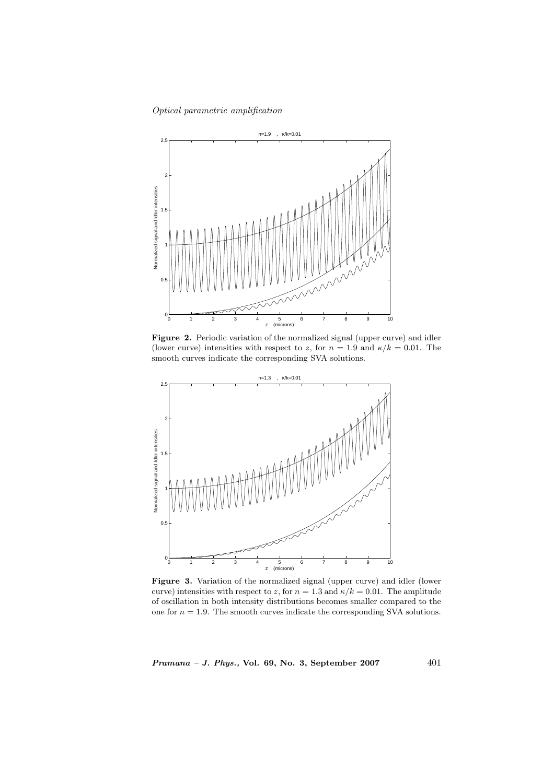

Figure 2. Periodic variation of the normalized signal (upper curve) and idler (lower curve) intensities with respect to z, for  $n = 1.9$  and  $\kappa/k = 0.01$ . The smooth curves indicate the corresponding SVA solutions.



Figure 3. Variation of the normalized signal (upper curve) and idler (lower curve) intensities with respect to z, for  $n = 1.3$  and  $\kappa/k = 0.01$ . The amplitude of oscillation in both intensity distributions becomes smaller compared to the one for  $n = 1.9$ . The smooth curves indicate the corresponding SVA solutions.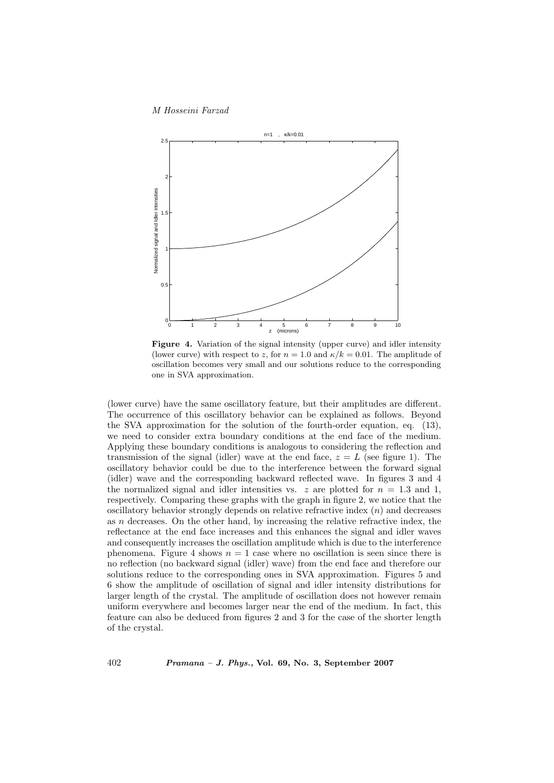

Figure 4. Variation of the signal intensity (upper curve) and idler intensity (lower curve) with respect to z, for  $n = 1.0$  and  $\kappa/k = 0.01$ . The amplitude of oscillation becomes very small and our solutions reduce to the corresponding one in SVA approximation.

(lower curve) have the same oscillatory feature, but their amplitudes are different. The occurrence of this oscillatory behavior can be explained as follows. Beyond the SVA approximation for the solution of the fourth-order equation, eq. (13), we need to consider extra boundary conditions at the end face of the medium. Applying these boundary conditions is analogous to considering the reflection and transmission of the signal (idler) wave at the end face,  $z = L$  (see figure 1). The oscillatory behavior could be due to the interference between the forward signal (idler) wave and the corresponding backward reflected wave. In figures 3 and 4 the normalized signal and idler intensities vs. z are plotted for  $n = 1.3$  and 1, respectively. Comparing these graphs with the graph in figure 2, we notice that the oscillatory behavior strongly depends on relative refractive index  $(n)$  and decreases as n decreases. On the other hand, by increasing the relative refractive index, the reflectance at the end face increases and this enhances the signal and idler waves and consequently increases the oscillation amplitude which is due to the interference phenomena. Figure 4 shows  $n = 1$  case where no oscillation is seen since there is no reflection (no backward signal (idler) wave) from the end face and therefore our solutions reduce to the corresponding ones in SVA approximation. Figures 5 and 6 show the amplitude of oscillation of signal and idler intensity distributions for larger length of the crystal. The amplitude of oscillation does not however remain uniform everywhere and becomes larger near the end of the medium. In fact, this feature can also be deduced from figures 2 and 3 for the case of the shorter length of the crystal.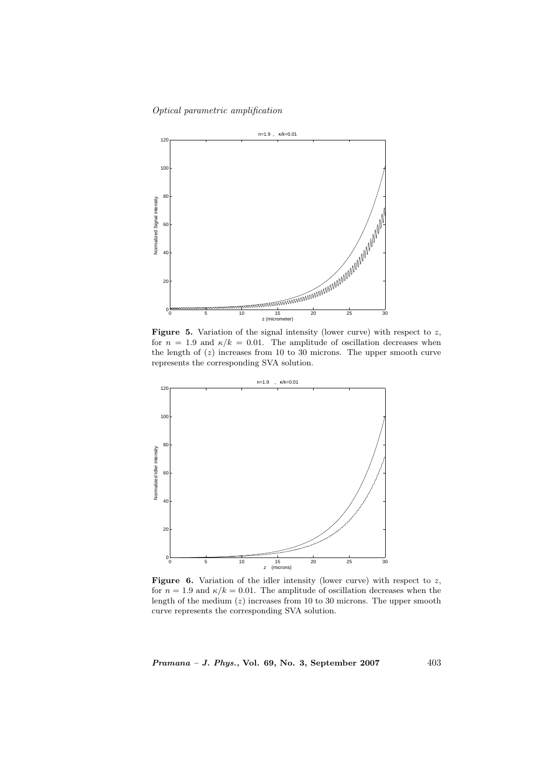

**Figure 5.** Variation of the signal intensity (lower curve) with respect to  $z$ , for  $n = 1.9$  and  $\kappa/k = 0.01$ . The amplitude of oscillation decreases when the length of  $(z)$  increases from 10 to 30 microns. The upper smooth curve represents the corresponding SVA solution.



Figure 6. Variation of the idler intensity (lower curve) with respect to  $z$ , for  $n = 1.9$  and  $\kappa/k = 0.01$ . The amplitude of oscillation decreases when the length of the medium  $(z)$  increases from 10 to 30 microns. The upper smooth curve represents the corresponding SVA solution.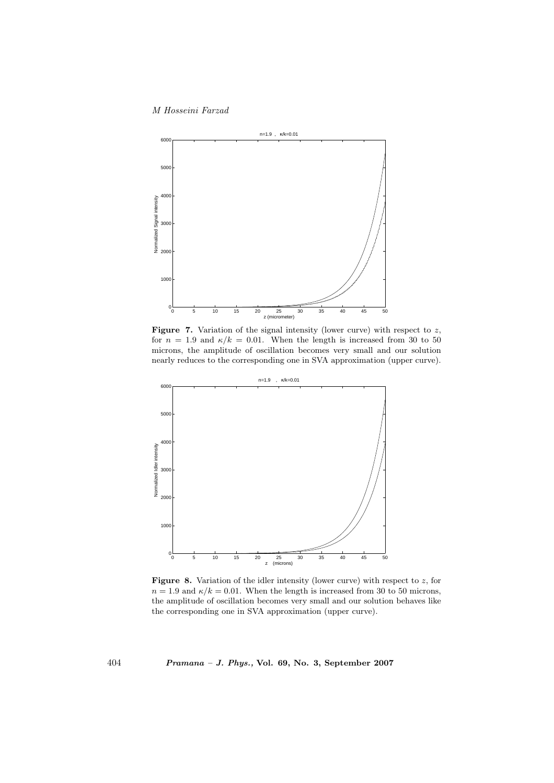

Figure 7. Variation of the signal intensity (lower curve) with respect to  $z$ , for  $n = 1.9$  and  $\kappa/k = 0.01$ . When the length is increased from 30 to 50 microns, the amplitude of oscillation becomes very small and our solution nearly reduces to the corresponding one in SVA approximation (upper curve).



**Figure 8.** Variation of the idler intensity (lower curve) with respect to  $z$ , for  $n = 1.9$  and  $\kappa/k = 0.01$ . When the length is increased from 30 to 50 microns, the amplitude of oscillation becomes very small and our solution behaves like the corresponding one in SVA approximation (upper curve).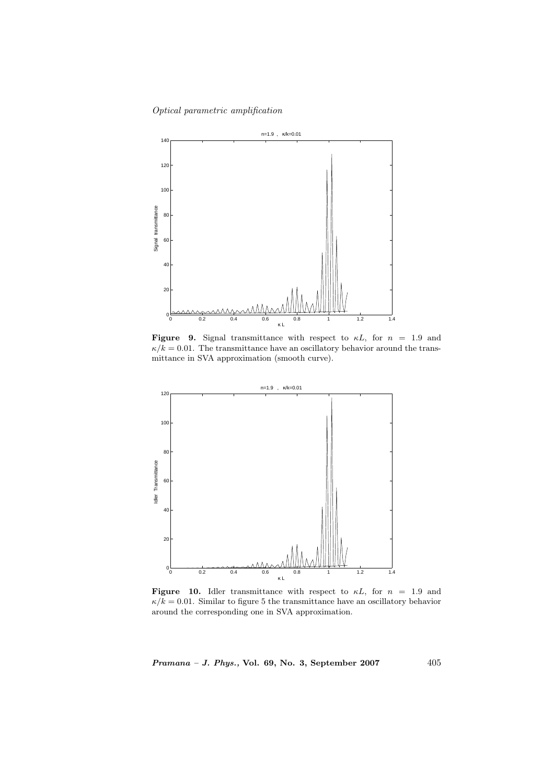

Figure 9. Signal transmittance with respect to  $\kappa L$ , for  $n = 1.9$  and  $\kappa/k = 0.01$ . The transmittance have an oscillatory behavior around the transmittance in SVA approximation (smooth curve).



Figure 10. Idler transmittance with respect to  $\kappa L$ , for  $n = 1.9$  and  $\kappa/k = 0.01$ . Similar to figure 5 the transmittance have an oscillatory behavior around the corresponding one in SVA approximation.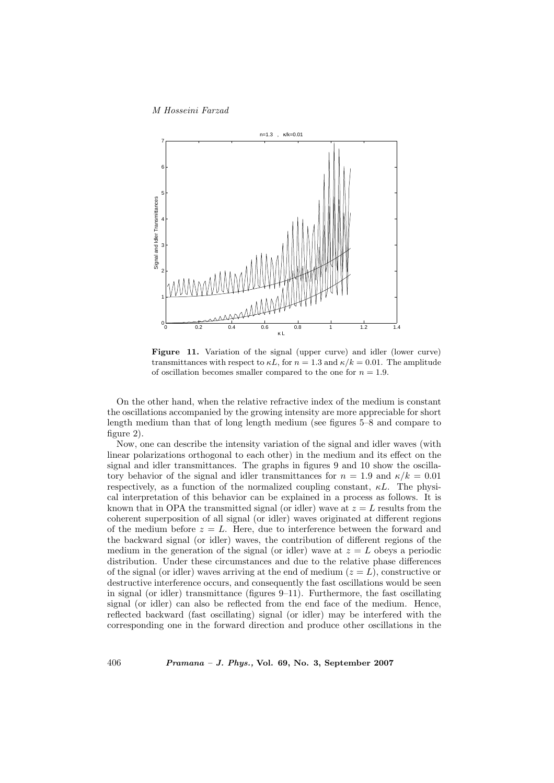

Figure 11. Variation of the signal (upper curve) and idler (lower curve) transmittances with respect to  $\kappa L$ , for  $n = 1.3$  and  $\kappa / k = 0.01$ . The amplitude of oscillation becomes smaller compared to the one for  $n = 1.9$ .

On the other hand, when the relative refractive index of the medium is constant the oscillations accompanied by the growing intensity are more appreciable for short length medium than that of long length medium (see figures 5–8 and compare to figure 2).

Now, one can describe the intensity variation of the signal and idler waves (with linear polarizations orthogonal to each other) in the medium and its effect on the signal and idler transmittances. The graphs in figures 9 and 10 show the oscillatory behavior of the signal and idler transmittances for  $n = 1.9$  and  $\kappa/k = 0.01$ respectively, as a function of the normalized coupling constant,  $\kappa L$ . The physical interpretation of this behavior can be explained in a process as follows. It is known that in OPA the transmitted signal (or idler) wave at  $z = L$  results from the coherent superposition of all signal (or idler) waves originated at different regions of the medium before  $z = L$ . Here, due to interference between the forward and the backward signal (or idler) waves, the contribution of different regions of the medium in the generation of the signal (or idler) wave at  $z = L$  obeys a periodic distribution. Under these circumstances and due to the relative phase differences of the signal (or idler) waves arriving at the end of medium  $(z = L)$ , constructive or destructive interference occurs, and consequently the fast oscillations would be seen in signal (or idler) transmittance (figures 9–11). Furthermore, the fast oscillating signal (or idler) can also be reflected from the end face of the medium. Hence, reflected backward (fast oscillating) signal (or idler) may be interfered with the corresponding one in the forward direction and produce other oscillations in the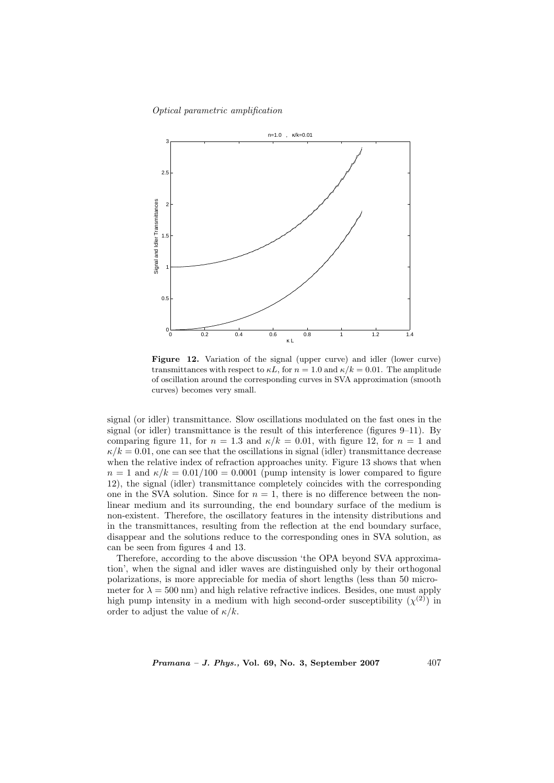

Figure 12. Variation of the signal (upper curve) and idler (lower curve) transmittances with respect to  $\kappa L$ , for  $n = 1.0$  and  $\kappa / k = 0.01$ . The amplitude of oscillation around the corresponding curves in SVA approximation (smooth curves) becomes very small.

signal (or idler) transmittance. Slow oscillations modulated on the fast ones in the signal (or idler) transmittance is the result of this interference (figures 9–11). By comparing figure 11, for  $n = 1.3$  and  $\kappa/k = 0.01$ , with figure 12, for  $n = 1$  and  $\kappa/k = 0.01$ , one can see that the oscillations in signal (idler) transmittance decrease when the relative index of refraction approaches unity. Figure 13 shows that when  $n = 1$  and  $\kappa/k = 0.01/100 = 0.0001$  (pump intensity is lower compared to figure 12), the signal (idler) transmittance completely coincides with the corresponding one in the SVA solution. Since for  $n = 1$ , there is no difference between the nonlinear medium and its surrounding, the end boundary surface of the medium is non-existent. Therefore, the oscillatory features in the intensity distributions and in the transmittances, resulting from the reflection at the end boundary surface, disappear and the solutions reduce to the corresponding ones in SVA solution, as can be seen from figures 4 and 13.

Therefore, according to the above discussion 'the OPA beyond SVA approximation', when the signal and idler waves are distinguished only by their orthogonal polarizations, is more appreciable for media of short lengths (less than 50 micrometer for  $\lambda = 500$  nm) and high relative refractive indices. Besides, one must apply high pump intensity in a medium with high second-order susceptibility  $(\chi^{(2)})$  in order to adjust the value of  $\kappa/k$ .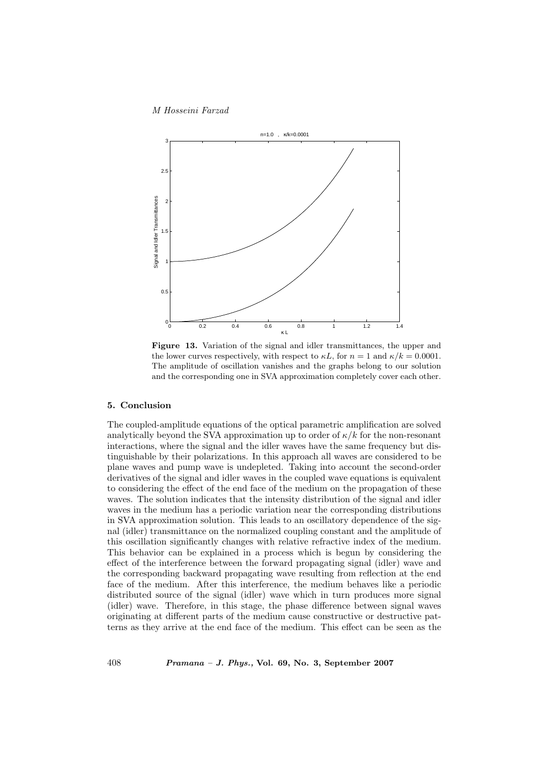

Figure 13. Variation of the signal and idler transmittances, the upper and the lower curves respectively, with respect to  $\kappa L$ , for  $n = 1$  and  $\kappa / k = 0.0001$ . The amplitude of oscillation vanishes and the graphs belong to our solution and the corresponding one in SVA approximation completely cover each other.

## 5. Conclusion

The coupled-amplitude equations of the optical parametric amplification are solved analytically beyond the SVA approximation up to order of  $\kappa/k$  for the non-resonant interactions, where the signal and the idler waves have the same frequency but distinguishable by their polarizations. In this approach all waves are considered to be plane waves and pump wave is undepleted. Taking into account the second-order derivatives of the signal and idler waves in the coupled wave equations is equivalent to considering the effect of the end face of the medium on the propagation of these waves. The solution indicates that the intensity distribution of the signal and idler waves in the medium has a periodic variation near the corresponding distributions in SVA approximation solution. This leads to an oscillatory dependence of the signal (idler) transmittance on the normalized coupling constant and the amplitude of this oscillation significantly changes with relative refractive index of the medium. This behavior can be explained in a process which is begun by considering the effect of the interference between the forward propagating signal (idler) wave and the corresponding backward propagating wave resulting from reflection at the end face of the medium. After this interference, the medium behaves like a periodic distributed source of the signal (idler) wave which in turn produces more signal (idler) wave. Therefore, in this stage, the phase difference between signal waves originating at different parts of the medium cause constructive or destructive patterns as they arrive at the end face of the medium. This effect can be seen as the